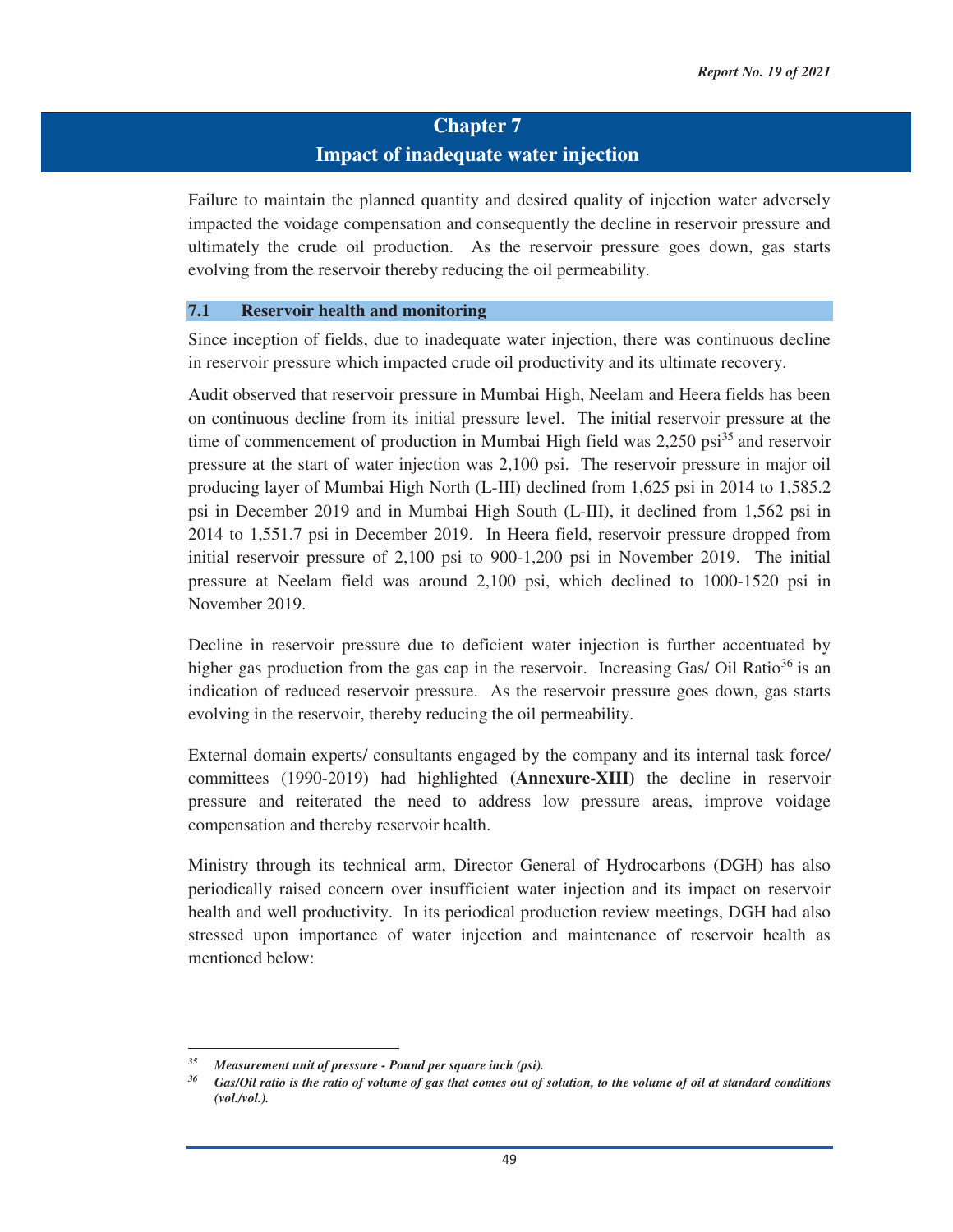# **Chapter 7 Impact of inadequate water injection**

Failure to maintain the planned quantity and desired quality of injection water adversely impacted the voidage compensation and consequently the decline in reservoir pressure and ultimately the crude oil production. As the reservoir pressure goes down, gas starts evolving from the reservoir thereby reducing the oil permeability.

#### **7.1 Reservoir health and monitoring**

Since inception of fields, due to inadequate water injection, there was continuous decline in reservoir pressure which impacted crude oil productivity and its ultimate recovery.

Audit observed that reservoir pressure in Mumbai High, Neelam and Heera fields has been on continuous decline from its initial pressure level. The initial reservoir pressure at the time of commencement of production in Mumbai High field was  $2.250$  psi<sup>35</sup> and reservoir pressure at the start of water injection was 2,100 psi. The reservoir pressure in major oil producing layer of Mumbai High North (L-III) declined from 1,625 psi in 2014 to 1,585.2 psi in December 2019 and in Mumbai High South (L-III), it declined from 1,562 psi in 2014 to 1,551.7 psi in December 2019. In Heera field, reservoir pressure dropped from initial reservoir pressure of 2,100 psi to 900-1,200 psi in November 2019. The initial pressure at Neelam field was around 2,100 psi, which declined to 1000-1520 psi in November 2019.

Decline in reservoir pressure due to deficient water injection is further accentuated by higher gas production from the gas cap in the reservoir. Increasing Gas/ Oil Ratio $36$  is an indication of reduced reservoir pressure. As the reservoir pressure goes down, gas starts evolving in the reservoir, thereby reducing the oil permeability.

External domain experts/ consultants engaged by the company and its internal task force/ committees (1990-2019) had highlighted **(Annexure-XIII)** the decline in reservoir pressure and reiterated the need to address low pressure areas, improve voidage compensation and thereby reservoir health.

Ministry through its technical arm, Director General of Hydrocarbons (DGH) has also periodically raised concern over insufficient water injection and its impact on reservoir health and well productivity. In its periodical production review meetings, DGH had also stressed upon importance of water injection and maintenance of reservoir health as mentioned below:

<u> 1989 - Johann Barn, mars eta bainar eta industrial eta bainar eta baina eta baina eta baina eta baina eta ba</u>

*<sup>35</sup> Measurement unit of pressure - Pound per square inch (psi). 36 Gas/Oil ratio is the ratio of volume of gas that comes out of solution, to the volume of oil at standard conditions (vol./vol.).*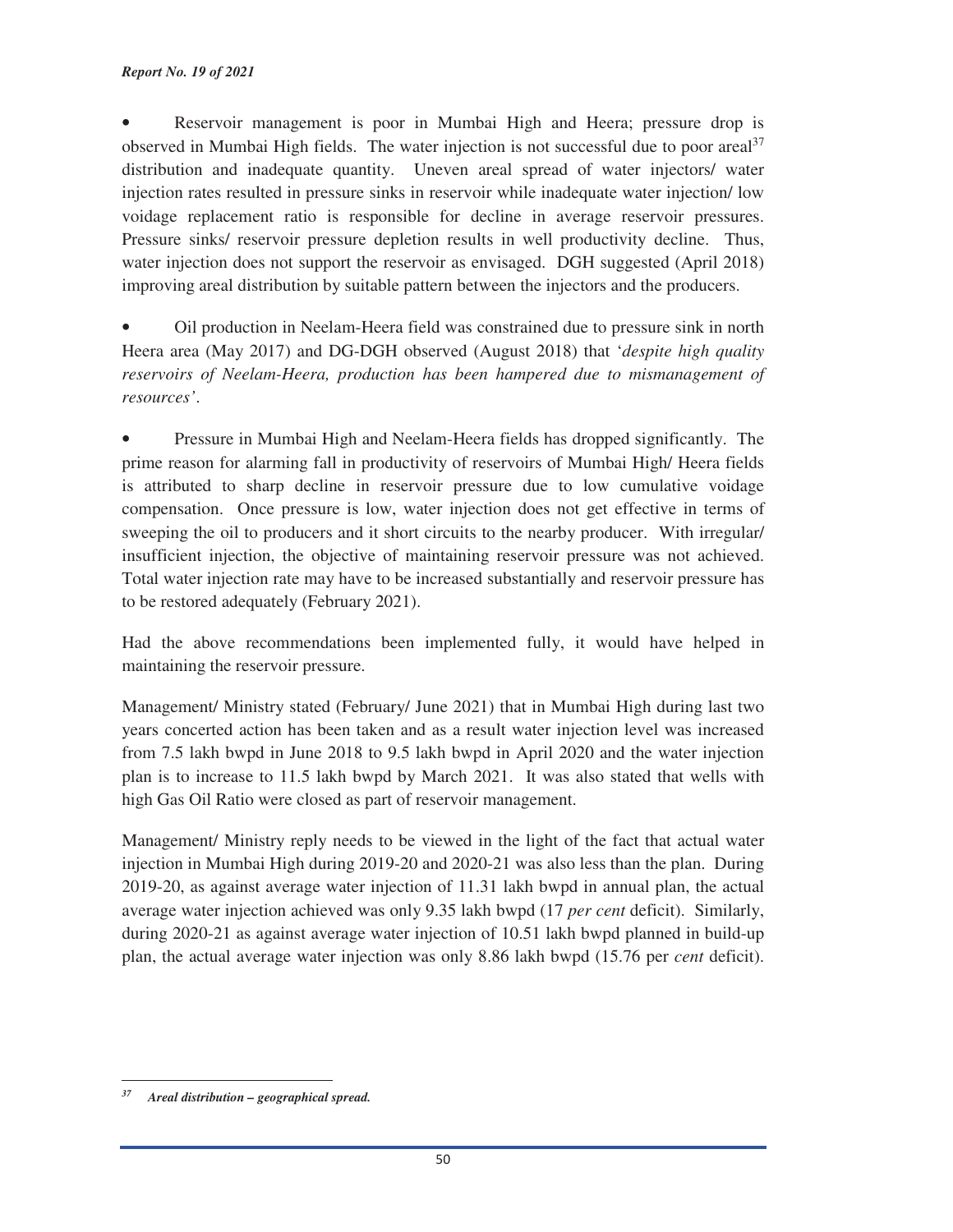• Reservoir management is poor in Mumbai High and Heera; pressure drop is observed in Mumbai High fields. The water injection is not successful due to poor areal<sup>37</sup> distribution and inadequate quantity. Uneven areal spread of water injectors/ water injection rates resulted in pressure sinks in reservoir while inadequate water injection/ low voidage replacement ratio is responsible for decline in average reservoir pressures. Pressure sinks/ reservoir pressure depletion results in well productivity decline. Thus, water injection does not support the reservoir as envisaged. DGH suggested (April 2018) improving areal distribution by suitable pattern between the injectors and the producers.

• Oil production in Neelam-Heera field was constrained due to pressure sink in north Heera area (May 2017) and DG-DGH observed (August 2018) that '*despite high quality reservoirs of Neelam-Heera, production has been hampered due to mismanagement of resources'*.

• Pressure in Mumbai High and Neelam-Heera fields has dropped significantly. The prime reason for alarming fall in productivity of reservoirs of Mumbai High/ Heera fields is attributed to sharp decline in reservoir pressure due to low cumulative voidage compensation. Once pressure is low, water injection does not get effective in terms of sweeping the oil to producers and it short circuits to the nearby producer. With irregular/ insufficient injection, the objective of maintaining reservoir pressure was not achieved. Total water injection rate may have to be increased substantially and reservoir pressure has to be restored adequately (February 2021).

Had the above recommendations been implemented fully, it would have helped in maintaining the reservoir pressure.

Management/ Ministry stated (February/ June 2021) that in Mumbai High during last two years concerted action has been taken and as a result water injection level was increased from 7.5 lakh bwpd in June 2018 to 9.5 lakh bwpd in April 2020 and the water injection plan is to increase to 11.5 lakh bwpd by March 2021. It was also stated that wells with high Gas Oil Ratio were closed as part of reservoir management.

Management/ Ministry reply needs to be viewed in the light of the fact that actual water injection in Mumbai High during 2019-20 and 2020-21 was also less than the plan. During 2019-20, as against average water injection of 11.31 lakh bwpd in annual plan, the actual average water injection achieved was only 9.35 lakh bwpd (17 *per cent* deficit). Similarly, during 2020-21 as against average water injection of 10.51 lakh bwpd planned in build-up plan, the actual average water injection was only 8.86 lakh bwpd (15.76 per *cent* deficit).

<u> 1989 - Johann Barn, mars eta bainar eta industrial eta bainar eta baina eta baina eta baina eta baina eta ba</u>

*<sup>37</sup> Areal distribution – geographical spread.*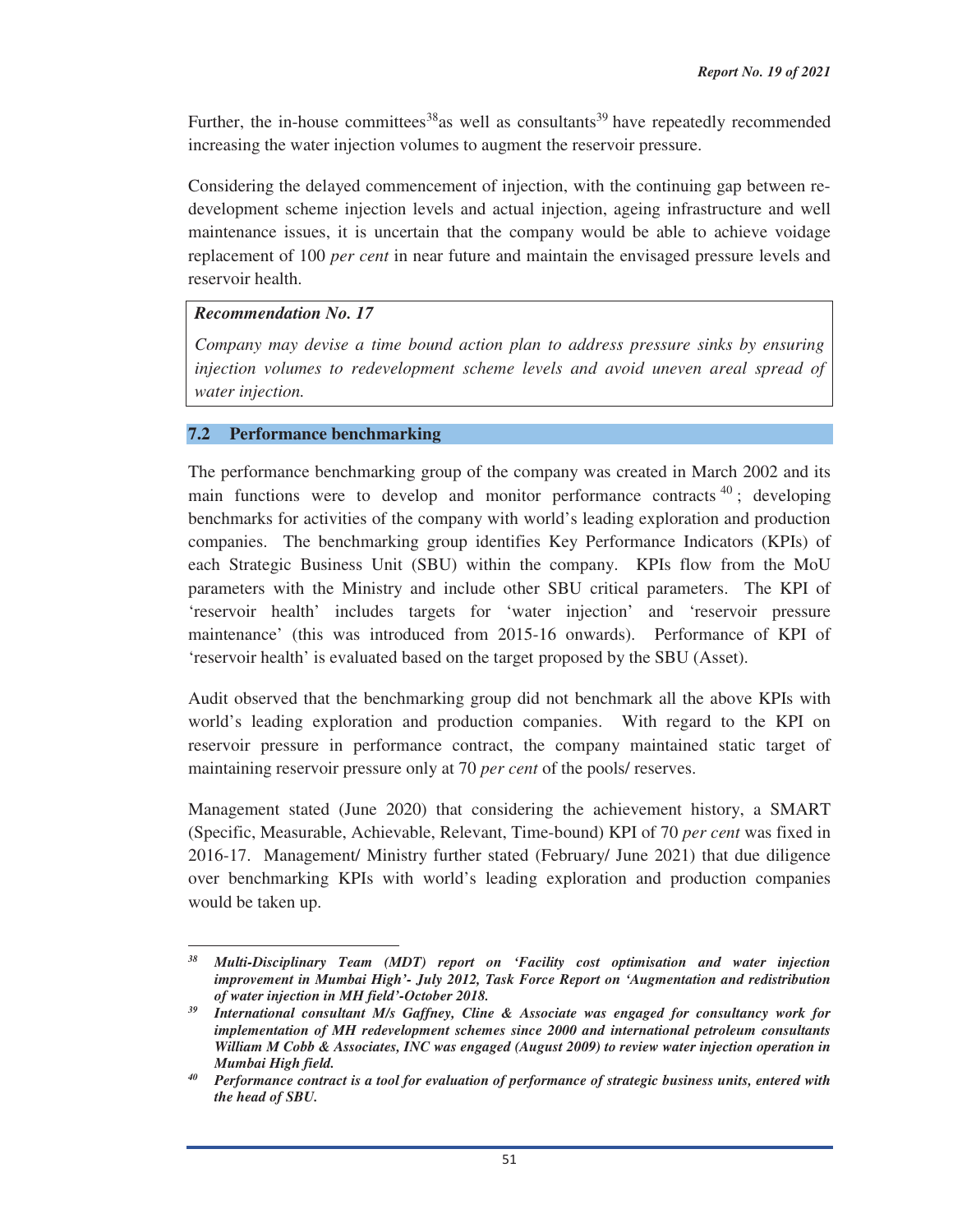Further, the in-house committees<sup>38</sup> as well as consultants<sup>39</sup> have repeatedly recommended increasing the water injection volumes to augment the reservoir pressure.

Considering the delayed commencement of injection, with the continuing gap between redevelopment scheme injection levels and actual injection, ageing infrastructure and well maintenance issues, it is uncertain that the company would be able to achieve voidage replacement of 100 *per cent* in near future and maintain the envisaged pressure levels and reservoir health.

# *Recommendation No. 17*

*Company may devise a time bound action plan to address pressure sinks by ensuring injection volumes to redevelopment scheme levels and avoid uneven areal spread of water injection.*

## **7.2 Performance benchmarking**

The performance benchmarking group of the company was created in March 2002 and its main functions were to develop and monitor performance contracts  $40$ ; developing benchmarks for activities of the company with world's leading exploration and production companies. The benchmarking group identifies Key Performance Indicators (KPIs) of each Strategic Business Unit (SBU) within the company. KPIs flow from the MoU parameters with the Ministry and include other SBU critical parameters. The KPI of 'reservoir health' includes targets for 'water injection' and 'reservoir pressure maintenance' (this was introduced from 2015-16 onwards). Performance of KPI of 'reservoir health' is evaluated based on the target proposed by the SBU (Asset).

Audit observed that the benchmarking group did not benchmark all the above KPIs with world's leading exploration and production companies. With regard to the KPI on reservoir pressure in performance contract, the company maintained static target of maintaining reservoir pressure only at 70 *per cent* of the pools/ reserves.

Management stated (June 2020) that considering the achievement history, a SMART (Specific, Measurable, Achievable, Relevant, Time-bound) KPI of 70 *per cent* was fixed in 2016-17. Management/ Ministry further stated (February/ June 2021) that due diligence over benchmarking KPIs with world's leading exploration and production companies would be taken up.

 *38 Multi-Disciplinary Team (MDT) report on 'Facility cost optimisation and water injection improvement in Mumbai High'- July 2012, Task Force Report on 'Augmentation and redistribution of water injection in MH field'-October 2018.*<br>39 International consultant M/s Gaffney, Cline & Associate was engaged for consultancy work for

*implementation of MH redevelopment schemes since 2000 and international petroleum consultants William M Cobb & Associates, INC was engaged (August 2009) to review water injection operation in* 

*Mumbai High field. 40 Performance contract is a tool for evaluation of performance of strategic business units, entered with the head of SBU.*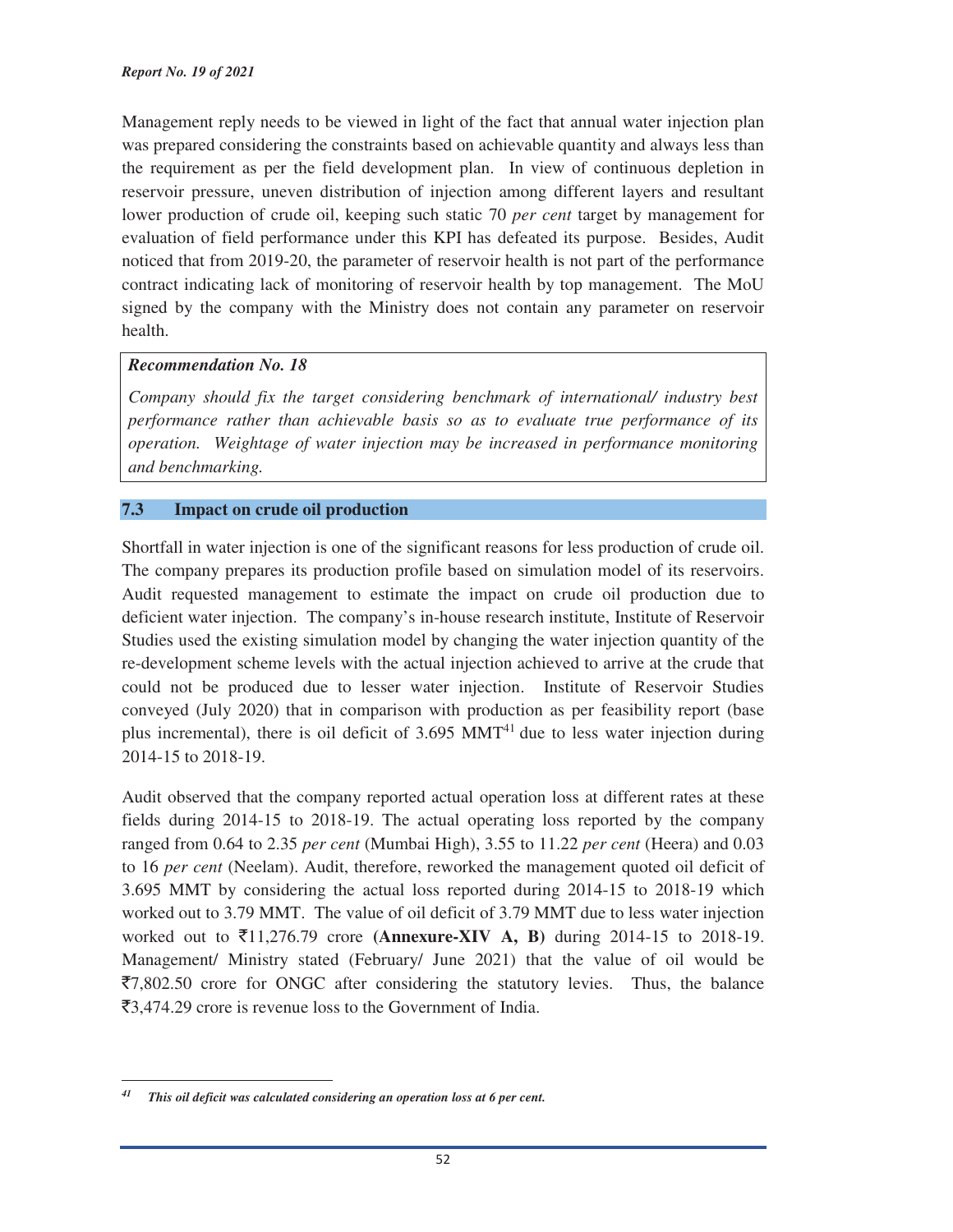Management reply needs to be viewed in light of the fact that annual water injection plan was prepared considering the constraints based on achievable quantity and always less than the requirement as per the field development plan. In view of continuous depletion in reservoir pressure, uneven distribution of injection among different layers and resultant lower production of crude oil, keeping such static 70 *per cent* target by management for evaluation of field performance under this KPI has defeated its purpose. Besides, Audit noticed that from 2019-20, the parameter of reservoir health is not part of the performance contract indicating lack of monitoring of reservoir health by top management. The MoU signed by the company with the Ministry does not contain any parameter on reservoir health.

#### *Recommendation No. 18*

*Company should fix the target considering benchmark of international/ industry best performance rather than achievable basis so as to evaluate true performance of its operation. Weightage of water injection may be increased in performance monitoring and benchmarking.*

## **7.3 Impact on crude oil production**

Shortfall in water injection is one of the significant reasons for less production of crude oil. The company prepares its production profile based on simulation model of its reservoirs. Audit requested management to estimate the impact on crude oil production due to deficient water injection. The company's in-house research institute, Institute of Reservoir Studies used the existing simulation model by changing the water injection quantity of the re-development scheme levels with the actual injection achieved to arrive at the crude that could not be produced due to lesser water injection. Institute of Reservoir Studies conveyed (July 2020) that in comparison with production as per feasibility report (base plus incremental), there is oil deficit of  $3.695$  MMT<sup>41</sup> due to less water injection during 2014-15 to 2018-19.

Audit observed that the company reported actual operation loss at different rates at these fields during 2014-15 to 2018-19. The actual operating loss reported by the company ranged from 0.64 to 2.35 *per cent* (Mumbai High), 3.55 to 11.22 *per cent* (Heera) and 0.03 to 16 *per cent* (Neelam). Audit, therefore, reworked the management quoted oil deficit of 3.695 MMT by considering the actual loss reported during 2014-15 to 2018-19 which worked out to 3.79 MMT. The value of oil deficit of 3.79 MMT due to less water injection worked out to C11,276.79 crore **(Annexure-XIV A, B)** during 2014-15 to 2018-19. Management/ Ministry stated (February/ June 2021) that the value of oil would be  $\overline{57,802.50}$  crore for ONGC after considering the statutory levies. Thus, the balance  $\bar{c}3,474.29$  crore is revenue loss to the Government of India.

<u> 1989 - Johann Barn, mars eta bainar eta industrial eta bainar eta baina eta baina eta baina eta baina eta ba</u>

*<sup>41</sup> This oil deficit was calculated considering an operation loss at 6 per cent.*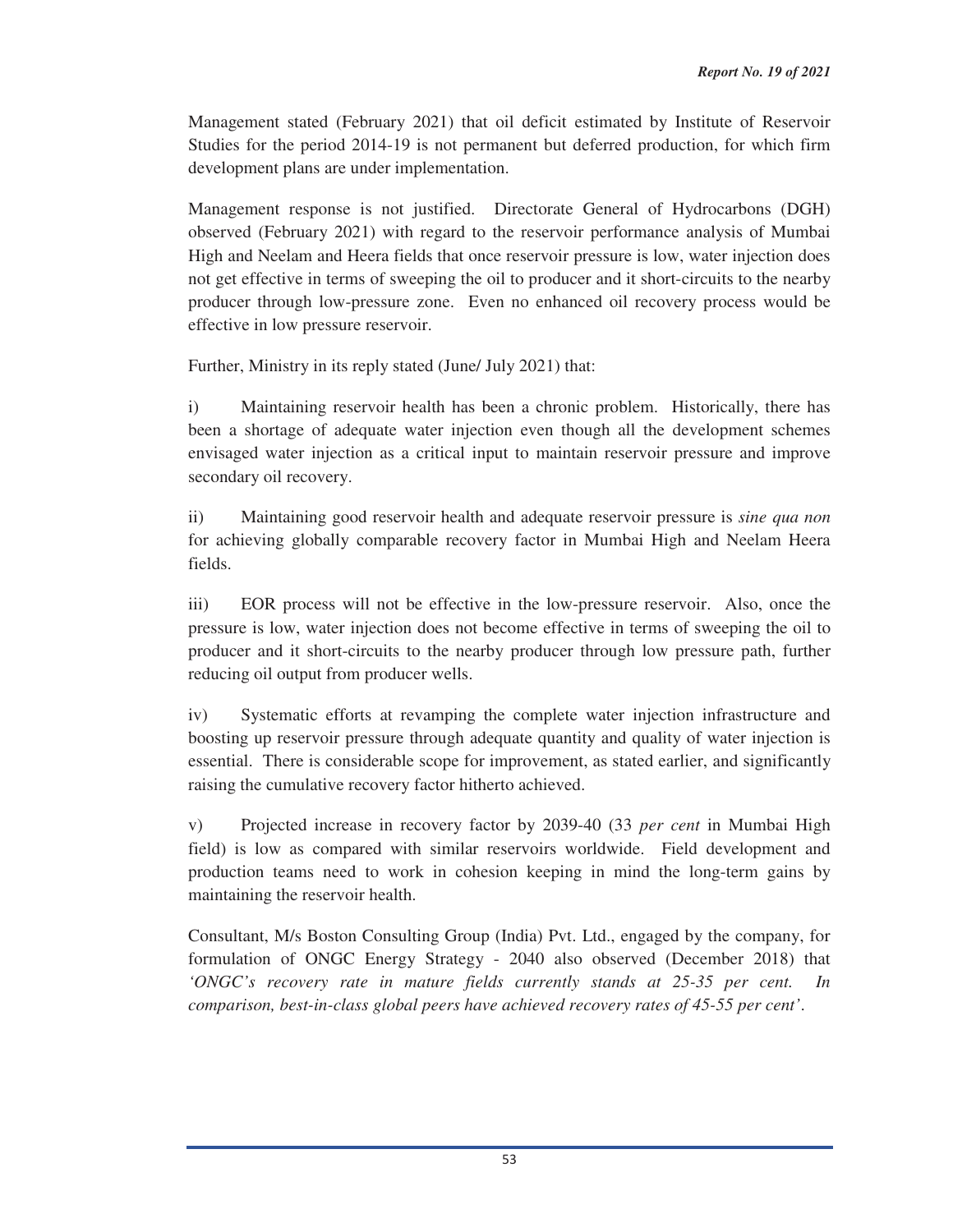Management stated (February 2021) that oil deficit estimated by Institute of Reservoir Studies for the period 2014-19 is not permanent but deferred production, for which firm development plans are under implementation.

Management response is not justified. Directorate General of Hydrocarbons (DGH) observed (February 2021) with regard to the reservoir performance analysis of Mumbai High and Neelam and Heera fields that once reservoir pressure is low, water injection does not get effective in terms of sweeping the oil to producer and it short-circuits to the nearby producer through low-pressure zone. Even no enhanced oil recovery process would be effective in low pressure reservoir.

Further, Ministry in its reply stated (June/ July 2021) that:

i) Maintaining reservoir health has been a chronic problem. Historically, there has been a shortage of adequate water injection even though all the development schemes envisaged water injection as a critical input to maintain reservoir pressure and improve secondary oil recovery.

ii) Maintaining good reservoir health and adequate reservoir pressure is *sine qua non* for achieving globally comparable recovery factor in Mumbai High and Neelam Heera fields.

iii) EOR process will not be effective in the low-pressure reservoir. Also, once the pressure is low, water injection does not become effective in terms of sweeping the oil to producer and it short-circuits to the nearby producer through low pressure path, further reducing oil output from producer wells.

iv) Systematic efforts at revamping the complete water injection infrastructure and boosting up reservoir pressure through adequate quantity and quality of water injection is essential. There is considerable scope for improvement, as stated earlier, and significantly raising the cumulative recovery factor hitherto achieved.

v) Projected increase in recovery factor by 2039-40 (33 *per cent* in Mumbai High field) is low as compared with similar reservoirs worldwide. Field development and production teams need to work in cohesion keeping in mind the long-term gains by maintaining the reservoir health.

Consultant, M/s Boston Consulting Group (India) Pvt. Ltd., engaged by the company, for formulation of ONGC Energy Strategy - 2040 also observed (December 2018) that *'ONGC's recovery rate in mature fields currently stands at 25-35 per cent. In comparison, best-in-class global peers have achieved recovery rates of 45-55 per cent'*.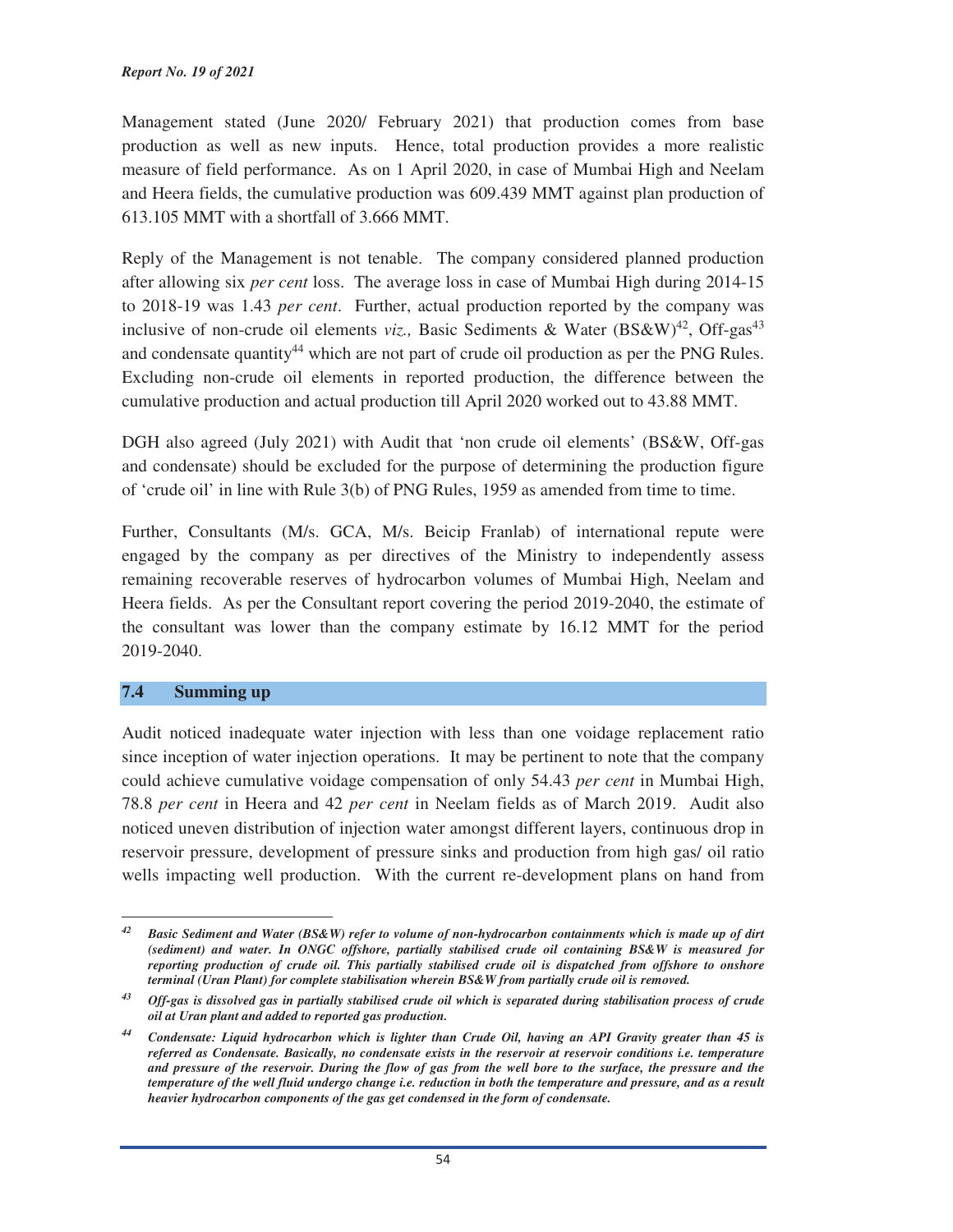Management stated (June 2020/ February 2021) that production comes from base production as well as new inputs. Hence, total production provides a more realistic measure of field performance. As on 1 April 2020, in case of Mumbai High and Neelam and Heera fields, the cumulative production was 609.439 MMT against plan production of 613.105 MMT with a shortfall of 3.666 MMT.

Reply of the Management is not tenable. The company considered planned production after allowing six *per cent* loss. The average loss in case of Mumbai High during 2014-15 to 2018-19 was 1.43 *per cent*. Further, actual production reported by the company was inclusive of non-crude oil elements *viz.*, Basic Sediments & Water  $(BS\&W)^{42}$ , Off-gas<sup>43</sup> and condensate quantity<sup>44</sup> which are not part of crude oil production as per the PNG Rules. Excluding non-crude oil elements in reported production, the difference between the cumulative production and actual production till April 2020 worked out to 43.88 MMT.

DGH also agreed (July 2021) with Audit that 'non crude oil elements' (BS&W, Off-gas and condensate) should be excluded for the purpose of determining the production figure of 'crude oil' in line with Rule 3(b) of PNG Rules, 1959 as amended from time to time.

Further, Consultants (M/s. GCA, M/s. Beicip Franlab) of international repute were engaged by the company as per directives of the Ministry to independently assess remaining recoverable reserves of hydrocarbon volumes of Mumbai High, Neelam and Heera fields. As per the Consultant report covering the period 2019-2040, the estimate of the consultant was lower than the company estimate by 16.12 MMT for the period 2019-2040.

#### **7.4 Summing up**

<u> 1989 - Johann Barn, mars eta bainar eta industrial eta bainar eta baina eta baina eta baina eta baina eta ba</u>

Audit noticed inadequate water injection with less than one voidage replacement ratio since inception of water injection operations. It may be pertinent to note that the company could achieve cumulative voidage compensation of only 54.43 *per cent* in Mumbai High, 78.8 *per cent* in Heera and 42 *per cent* in Neelam fields as of March 2019. Audit also noticed uneven distribution of injection water amongst different layers, continuous drop in reservoir pressure, development of pressure sinks and production from high gas/ oil ratio wells impacting well production. With the current re-development plans on hand from

*<sup>42</sup> Basic Sediment and Water (BS&W) refer to volume of non-hydrocarbon containments which is made up of dirt (sediment) and water. In ONGC offshore, partially stabilised crude oil containing BS&W is measured for reporting production of crude oil. This partially stabilised crude oil is dispatched from offshore to onshore terminal (Uran Plant) for complete stabilisation wherein BS&W from partially crude oil is removed.* 

*<sup>43</sup> Off-gas is dissolved gas in partially stabilised crude oil which is separated during stabilisation process of crude oil at Uran plant and added to reported gas production.* 

*<sup>44</sup> Condensate: Liquid hydrocarbon which is lighter than Crude Oil, having an API Gravity greater than 45 is referred as Condensate. Basically, no condensate exists in the reservoir at reservoir conditions i.e. temperature and pressure of the reservoir. During the flow of gas from the well bore to the surface, the pressure and the temperature of the well fluid undergo change i.e. reduction in both the temperature and pressure, and as a result heavier hydrocarbon components of the gas get condensed in the form of condensate.*